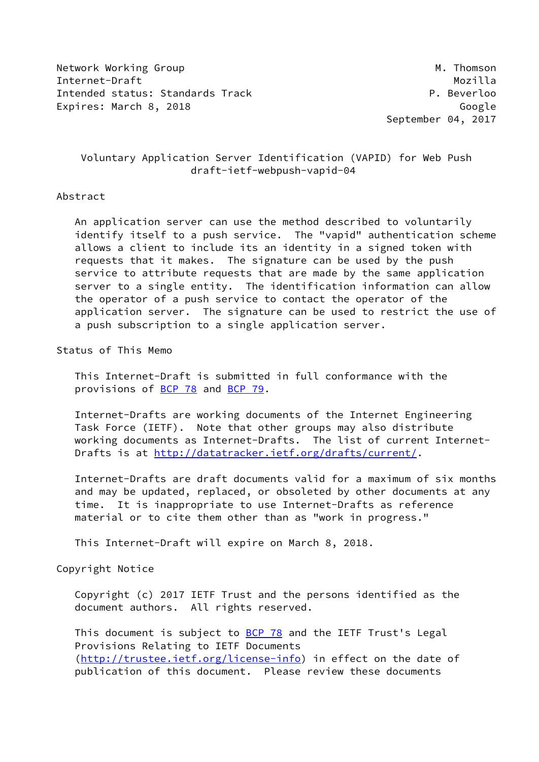Network Working Group Manuscript Communication of the Manuscript Manuscript Manuscript Manuscript Ma Internet-Draft Mozilla Intended status: Standards Track P. Beverloo Expires: March 8, 2018 Google

September 04, 2017

# Voluntary Application Server Identification (VAPID) for Web Push draft-ietf-webpush-vapid-04

### Abstract

 An application server can use the method described to voluntarily identify itself to a push service. The "vapid" authentication scheme allows a client to include its an identity in a signed token with requests that it makes. The signature can be used by the push service to attribute requests that are made by the same application server to a single entity. The identification information can allow the operator of a push service to contact the operator of the application server. The signature can be used to restrict the use of a push subscription to a single application server.

Status of This Memo

 This Internet-Draft is submitted in full conformance with the provisions of [BCP 78](https://datatracker.ietf.org/doc/pdf/bcp78) and [BCP 79](https://datatracker.ietf.org/doc/pdf/bcp79).

 Internet-Drafts are working documents of the Internet Engineering Task Force (IETF). Note that other groups may also distribute working documents as Internet-Drafts. The list of current Internet- Drafts is at<http://datatracker.ietf.org/drafts/current/>.

 Internet-Drafts are draft documents valid for a maximum of six months and may be updated, replaced, or obsoleted by other documents at any time. It is inappropriate to use Internet-Drafts as reference material or to cite them other than as "work in progress."

This Internet-Draft will expire on March 8, 2018.

Copyright Notice

 Copyright (c) 2017 IETF Trust and the persons identified as the document authors. All rights reserved.

This document is subject to **[BCP 78](https://datatracker.ietf.org/doc/pdf/bcp78)** and the IETF Trust's Legal Provisions Relating to IETF Documents [\(http://trustee.ietf.org/license-info](http://trustee.ietf.org/license-info)) in effect on the date of publication of this document. Please review these documents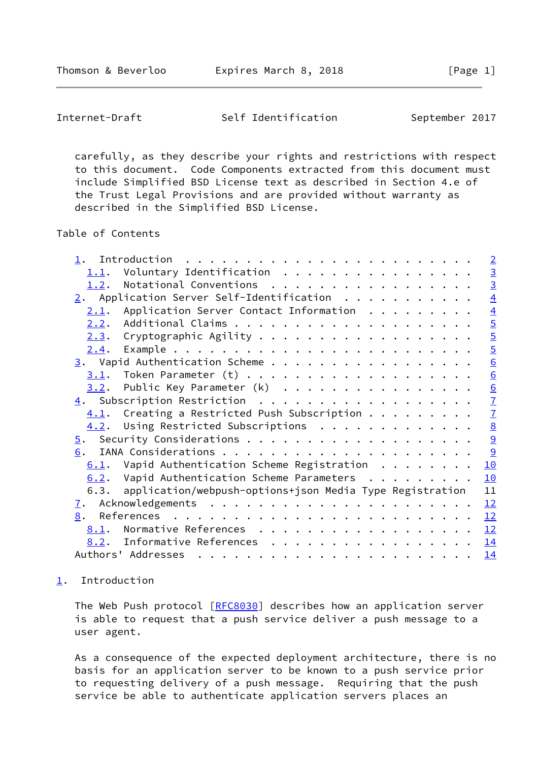<span id="page-1-1"></span>Internet-Draft Self Identification September 2017

 carefully, as they describe your rights and restrictions with respect to this document. Code Components extracted from this document must include Simplified BSD License text as described in Section 4.e of the Trust Legal Provisions and are provided without warranty as described in the Simplified BSD License.

Table of Contents

| Voluntary Identification<br>1.1.                                       |                 |
|------------------------------------------------------------------------|-----------------|
|                                                                        |                 |
| Notational Conventions<br>1.2.                                         | $\frac{3}{3}$   |
| 2. Application Server Self-Identification $\ldots$                     | $\overline{4}$  |
| Application Server Contact Information<br>2.1.                         | $\overline{4}$  |
| 2.2.                                                                   | $rac{5}{5}$     |
| Cryptographic Agility<br>2.3.                                          |                 |
| 2.4.                                                                   | $\overline{5}$  |
|                                                                        | $\underline{6}$ |
| 3.1.                                                                   | $\underline{6}$ |
| Public Key Parameter (k)<br>3.2.                                       | $\underline{6}$ |
|                                                                        | $\overline{1}$  |
| $4.1$ . Creating a Restricted Push Subscription                        | $\overline{1}$  |
| Using Restricted Subscriptions<br>4.2.                                 | 8<br>9<br>9     |
| $\overline{5}$ .                                                       |                 |
| 6.                                                                     |                 |
| $6.1$ . Vapid Authentication Scheme Registration<br>10                 |                 |
| 6.2. Vapid Authentication Scheme Parameters $\dots \dots \dots$<br>10  |                 |
| application/webpush-options+json Media Type Registration<br>11<br>6.3. |                 |
| 12<br>$\mathbf{I}$ .                                                   |                 |
| 12<br>8.                                                               |                 |
| Normative References $\frac{12}{2}$<br>8.1.                            |                 |
| Informative References<br>14<br>8.2.                                   |                 |
| Authors' Addresses<br>14                                               |                 |

## <span id="page-1-0"></span>[1](#page-1-0). Introduction

The Web Push protocol [[RFC8030](https://datatracker.ietf.org/doc/pdf/rfc8030)] describes how an application server is able to request that a push service deliver a push message to a user agent.

 As a consequence of the expected deployment architecture, there is no basis for an application server to be known to a push service prior to requesting delivery of a push message. Requiring that the push service be able to authenticate application servers places an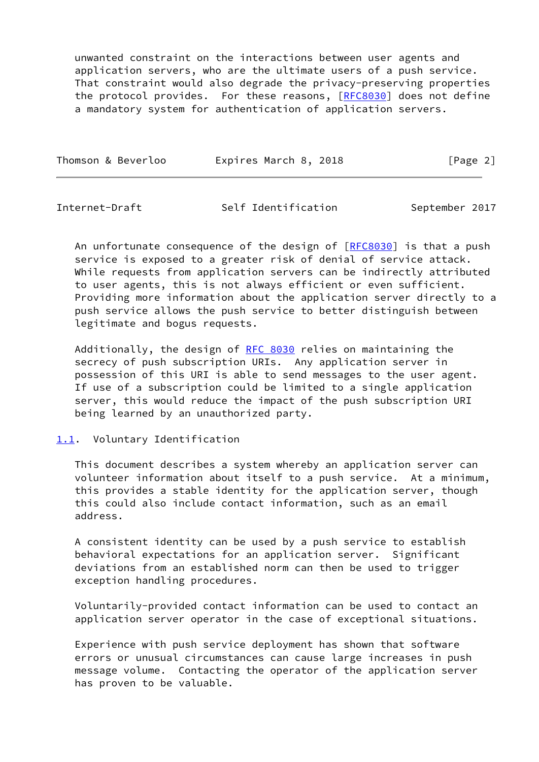unwanted constraint on the interactions between user agents and application servers, who are the ultimate users of a push service. That constraint would also degrade the privacy-preserving properties the protocol provides. For these reasons, [[RFC8030\]](https://datatracker.ietf.org/doc/pdf/rfc8030) does not define a mandatory system for authentication of application servers.

|--|

<span id="page-2-1"></span>Internet-Draft Self Identification September 2017

An unfortunate consequence of the design of  $[RECS030]$  is that a push service is exposed to a greater risk of denial of service attack. While requests from application servers can be indirectly attributed to user agents, this is not always efficient or even sufficient. Providing more information about the application server directly to a push service allows the push service to better distinguish between legitimate and bogus requests.

Additionally, the design of [RFC 8030](https://datatracker.ietf.org/doc/pdf/rfc8030) relies on maintaining the secrecy of push subscription URIs. Any application server in possession of this URI is able to send messages to the user agent. If use of a subscription could be limited to a single application server, this would reduce the impact of the push subscription URI being learned by an unauthorized party.

### <span id="page-2-0"></span>[1.1](#page-2-0). Voluntary Identification

 This document describes a system whereby an application server can volunteer information about itself to a push service. At a minimum, this provides a stable identity for the application server, though this could also include contact information, such as an email address.

 A consistent identity can be used by a push service to establish behavioral expectations for an application server. Significant deviations from an established norm can then be used to trigger exception handling procedures.

 Voluntarily-provided contact information can be used to contact an application server operator in the case of exceptional situations.

 Experience with push service deployment has shown that software errors or unusual circumstances can cause large increases in push message volume. Contacting the operator of the application server has proven to be valuable.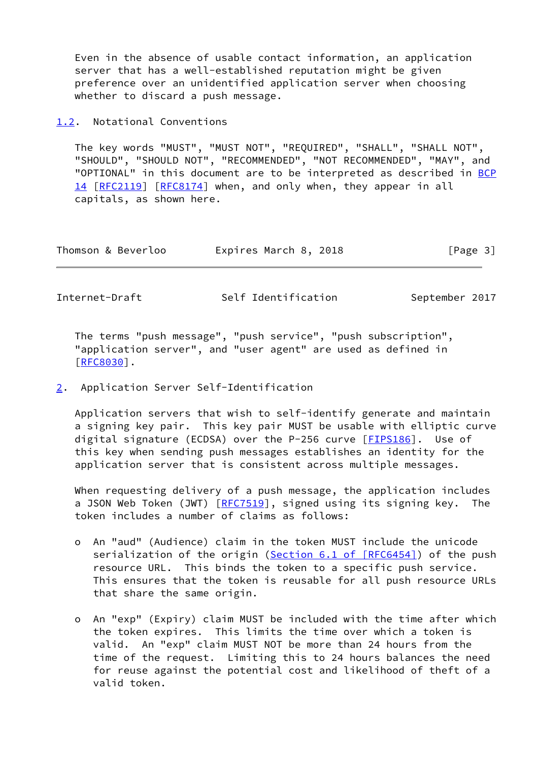Even in the absence of usable contact information, an application server that has a well-established reputation might be given preference over an unidentified application server when choosing whether to discard a push message.

<span id="page-3-0"></span>[1.2](#page-3-0). Notational Conventions

 The key words "MUST", "MUST NOT", "REQUIRED", "SHALL", "SHALL NOT", "SHOULD", "SHOULD NOT", "RECOMMENDED", "NOT RECOMMENDED", "MAY", and "OPTIONAL" in this document are to be interpreted as described in [BCP](https://datatracker.ietf.org/doc/pdf/bcp14) [14](https://datatracker.ietf.org/doc/pdf/bcp14) [[RFC2119\]](https://datatracker.ietf.org/doc/pdf/rfc2119) [\[RFC8174](https://datatracker.ietf.org/doc/pdf/rfc8174)] when, and only when, they appear in all capitals, as shown here.

| Thomson & Beverloo | Expires March 8, 2018 | [Page 3] |
|--------------------|-----------------------|----------|
|--------------------|-----------------------|----------|

<span id="page-3-2"></span>Internet-Draft Self Identification September 2017

 The terms "push message", "push service", "push subscription", "application server", and "user agent" are used as defined in [\[RFC8030](https://datatracker.ietf.org/doc/pdf/rfc8030)].

<span id="page-3-1"></span>[2](#page-3-1). Application Server Self-Identification

 Application servers that wish to self-identify generate and maintain a signing key pair. This key pair MUST be usable with elliptic curve digital signature (ECDSA) over the P-256 curve [\[FIPS186](#page-13-1)]. Use of this key when sending push messages establishes an identity for the application server that is consistent across multiple messages.

 When requesting delivery of a push message, the application includes a JSON Web Token (JWT)  $[REC7519]$ , signed using its signing key. The token includes a number of claims as follows:

- o An "aud" (Audience) claim in the token MUST include the unicode serialization of the origin (Section [6.1 of \[RFC6454\]](https://datatracker.ietf.org/doc/pdf/rfc6454#section-6.1)) of the push resource URL. This binds the token to a specific push service. This ensures that the token is reusable for all push resource URLs that share the same origin.
- o An "exp" (Expiry) claim MUST be included with the time after which the token expires. This limits the time over which a token is valid. An "exp" claim MUST NOT be more than 24 hours from the time of the request. Limiting this to 24 hours balances the need for reuse against the potential cost and likelihood of theft of a valid token.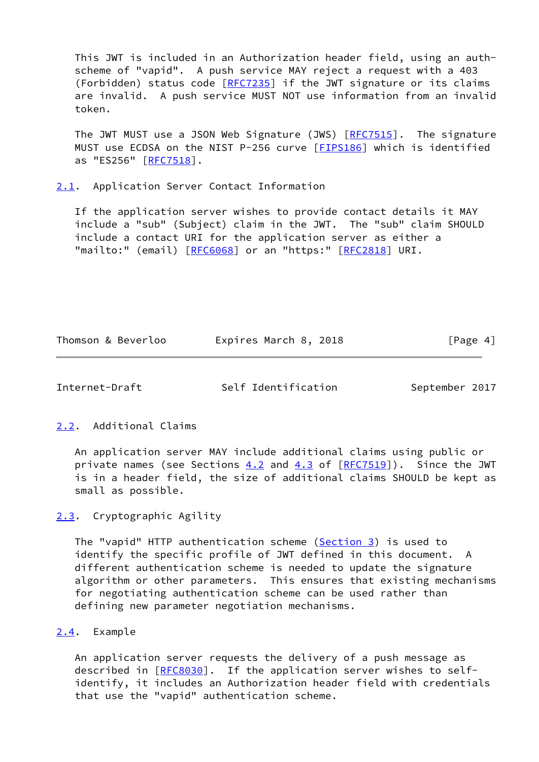This JWT is included in an Authorization header field, using an auth scheme of "vapid". A push service MAY reject a request with a 403 (Forbidden) status code [\[RFC7235](https://datatracker.ietf.org/doc/pdf/rfc7235)] if the JWT signature or its claims are invalid. A push service MUST NOT use information from an invalid token.

The JWT MUST use a JSON Web Signature (JWS) [\[RFC7515](https://datatracker.ietf.org/doc/pdf/rfc7515)]. The signature MUST use ECDSA on the NIST P-256 curve [\[FIPS186](#page-13-1)] which is identified as "ES256" [[RFC7518\]](https://datatracker.ietf.org/doc/pdf/rfc7518).

<span id="page-4-0"></span>[2.1](#page-4-0). Application Server Contact Information

 If the application server wishes to provide contact details it MAY include a "sub" (Subject) claim in the JWT. The "sub" claim SHOULD include a contact URI for the application server as either a "mailto:" (email) [[RFC6068](https://datatracker.ietf.org/doc/pdf/rfc6068)] or an "https:" [[RFC2818\]](https://datatracker.ietf.org/doc/pdf/rfc2818) URI.

Thomson & Beverloo Expires March 8, 2018 Expires March 8, 2018

<span id="page-4-2"></span>Internet-Draft Self Identification September 2017

<span id="page-4-1"></span>[2.2](#page-4-1). Additional Claims

 An application server MAY include additional claims using public or private names (see Sections  $4.2$  and  $4.3$  of  $[RFC7519]$  $[RFC7519]$ ). Since the JWT is in a header field, the size of additional claims SHOULD be kept as small as possible.

<span id="page-4-3"></span>[2.3](#page-4-3). Cryptographic Agility

The "vapid" HTTP authentication scheme [\(Section 3](#page-5-0)) is used to identify the specific profile of JWT defined in this document. A different authentication scheme is needed to update the signature algorithm or other parameters. This ensures that existing mechanisms for negotiating authentication scheme can be used rather than defining new parameter negotiation mechanisms.

<span id="page-4-4"></span>[2.4](#page-4-4). Example

 An application server requests the delivery of a push message as described in [\[RFC8030](https://datatracker.ietf.org/doc/pdf/rfc8030)]. If the application server wishes to self identify, it includes an Authorization header field with credentials that use the "vapid" authentication scheme.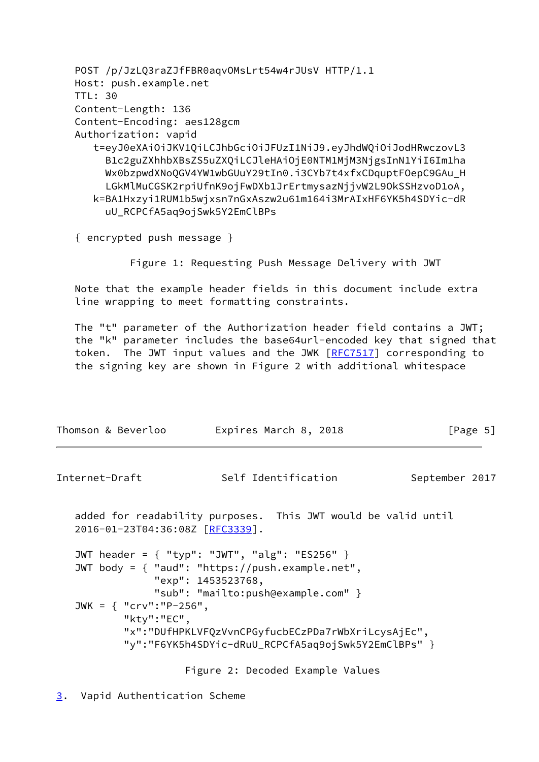POST /p/JzLQ3raZJfFBR0aqvOMsLrt54w4rJUsV HTTP/1.1 Host: push.example.net TTL: 30 Content-Length: 136 Content-Encoding: aes128gcm Authorization: vapid t=eyJ0eXAiOiJKV1QiLCJhbGciOiJFUzI1NiJ9.eyJhdWQiOiJodHRwczovL3 B1c2guZXhhbXBsZS5uZXQiLCJleHAiOjE0NTM1MjM3NjgsInN1YiI6Im1ha Wx0bzpwdXNoQGV4YW1wbGUuY29tIn0.i3CYb7t4xfxCDquptFOepC9GAu\_H LGkMlMuCGSK2rpiUfnK9ojFwDXb1JrErtmysazNjjvW2L9OkSSHzvoD1oA, k=BA1Hxzyi1RUM1b5wjxsn7nGxAszw2u61m164i3MrAIxHF6YK5h4SDYic-dR uU\_RCPCfA5aq9ojSwk5Y2EmClBPs

{ encrypted push message }

Figure 1: Requesting Push Message Delivery with JWT

 Note that the example header fields in this document include extra line wrapping to meet formatting constraints.

 The "t" parameter of the Authorization header field contains a JWT; the "k" parameter includes the base64url-encoded key that signed that token. The JWT input values and the JWK [\[RFC7517](https://datatracker.ietf.org/doc/pdf/rfc7517)] corresponding to the signing key are shown in Figure 2 with additional whitespace

<span id="page-5-1"></span>

| Thomson & Beverloo                       | Expires March 8, 2018                                                                                                                                                                                              | [Page $5$ ]    |
|------------------------------------------|--------------------------------------------------------------------------------------------------------------------------------------------------------------------------------------------------------------------|----------------|
| Internet-Draft                           | Self Identification                                                                                                                                                                                                | September 2017 |
| 2016-01-23T04:36:08Z [RFC3339].          | added for readability purposes. This JWT would be valid until                                                                                                                                                      |                |
| JWK = $\{$ "crv":"P-256",<br>"kty":"EC", | JWT header = { "typ": "JWT", "alg": "ES256" }<br>JWT body = { "aud": "https://push.example.net",<br>"exp": 1453523768,<br>"sub": "mailto:push@example.com" }<br>"x":"DUfHPKLVFQzVvnCPGyfucbECzPDa7rWbXriLcysAjEc", |                |
|                                          | "y":"F6YK5h4SDYic-dRuU_RCPCfA5aq9ojSwk5Y2EmClBPs" }                                                                                                                                                                |                |
|                                          |                                                                                                                                                                                                                    |                |

Figure 2: Decoded Example Values

<span id="page-5-0"></span>[3](#page-5-0). Vapid Authentication Scheme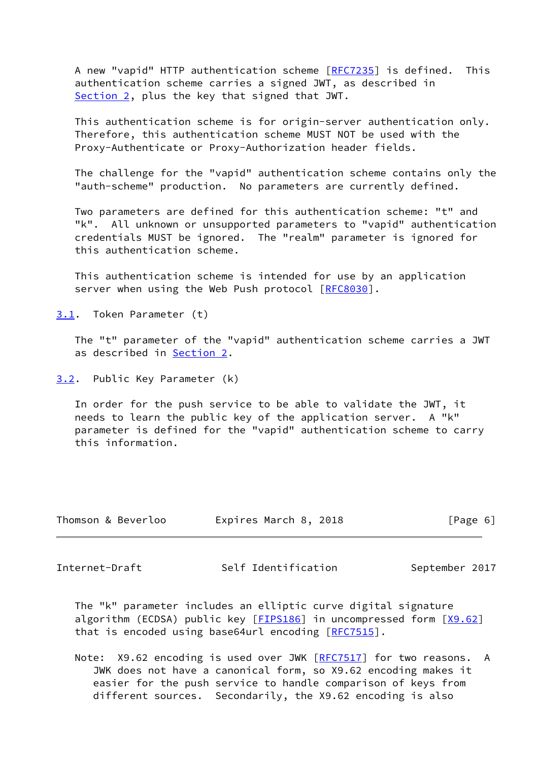A new "vapid" HTTP authentication scheme [\[RFC7235](https://datatracker.ietf.org/doc/pdf/rfc7235)] is defined. This authentication scheme carries a signed JWT, as described in [Section 2](#page-3-1), plus the key that signed that JWT.

 This authentication scheme is for origin-server authentication only. Therefore, this authentication scheme MUST NOT be used with the Proxy-Authenticate or Proxy-Authorization header fields.

 The challenge for the "vapid" authentication scheme contains only the "auth-scheme" production. No parameters are currently defined.

 Two parameters are defined for this authentication scheme: "t" and "k". All unknown or unsupported parameters to "vapid" authentication credentials MUST be ignored. The "realm" parameter is ignored for this authentication scheme.

 This authentication scheme is intended for use by an application server when using the Web Push protocol [\[RFC8030](https://datatracker.ietf.org/doc/pdf/rfc8030)].

<span id="page-6-0"></span>[3.1](#page-6-0). Token Parameter (t)

 The "t" parameter of the "vapid" authentication scheme carries a JWT as described in [Section 2](#page-3-1).

<span id="page-6-1"></span>[3.2](#page-6-1). Public Key Parameter (k)

 In order for the push service to be able to validate the JWT, it needs to learn the public key of the application server. A "k" parameter is defined for the "vapid" authentication scheme to carry this information.

| Thomson & Beverloo | Expires March 8, 2018 | [Page 6] |
|--------------------|-----------------------|----------|
|--------------------|-----------------------|----------|

<span id="page-6-2"></span>Internet-Draft Self Identification September 2017

 The "k" parameter includes an elliptic curve digital signature algorithm (ECDSA) public key  $[FIPS186]$  $[FIPS186]$  in uncompressed form  $[X9.62]$  $[X9.62]$ that is encoded using base64url encoding [\[RFC7515](https://datatracker.ietf.org/doc/pdf/rfc7515)].

Note: X9.62 encoding is used over JWK [\[RFC7517](https://datatracker.ietf.org/doc/pdf/rfc7517)] for two reasons. A JWK does not have a canonical form, so X9.62 encoding makes it easier for the push service to handle comparison of keys from different sources. Secondarily, the X9.62 encoding is also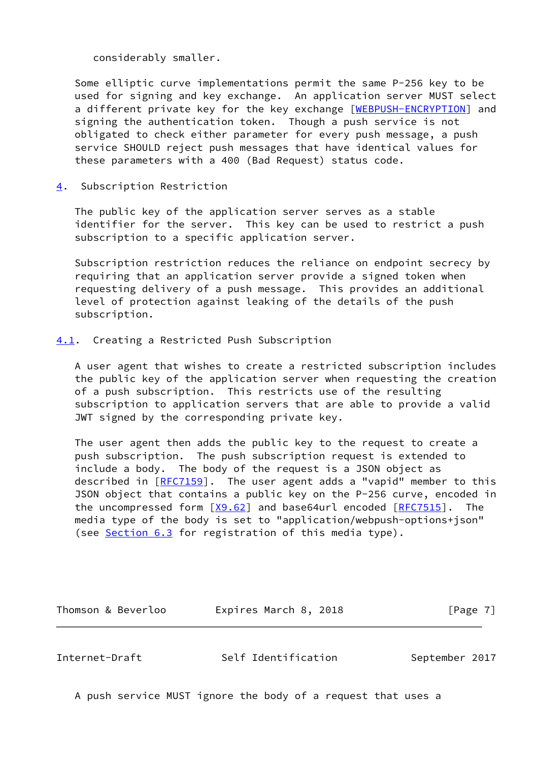considerably smaller.

 Some elliptic curve implementations permit the same P-256 key to be used for signing and key exchange. An application server MUST select a different private key for the key exchange [\[WEBPUSH-ENCRYPTION\]](#page-14-3) and signing the authentication token. Though a push service is not obligated to check either parameter for every push message, a push service SHOULD reject push messages that have identical values for these parameters with a 400 (Bad Request) status code.

<span id="page-7-0"></span>[4](#page-7-0). Subscription Restriction

 The public key of the application server serves as a stable identifier for the server. This key can be used to restrict a push subscription to a specific application server.

 Subscription restriction reduces the reliance on endpoint secrecy by requiring that an application server provide a signed token when requesting delivery of a push message. This provides an additional level of protection against leaking of the details of the push subscription.

<span id="page-7-1"></span>[4.1](#page-7-1). Creating a Restricted Push Subscription

 A user agent that wishes to create a restricted subscription includes the public key of the application server when requesting the creation of a push subscription. This restricts use of the resulting subscription to application servers that are able to provide a valid JWT signed by the corresponding private key.

 The user agent then adds the public key to the request to create a push subscription. The push subscription request is extended to include a body. The body of the request is a JSON object as described in  $[REC1159]$ . The user agent adds a "vapid" member to this JSON object that contains a public key on the P-256 curve, encoded in the uncompressed form  $[X9.62]$  $[X9.62]$  and base64url encoded  $[RFC7515]$  $[RFC7515]$ . The media type of the body is set to "application/webpush-options+json" (see [Section 6.3](#page-11-0) for registration of this media type).

Thomson & Beverloo **Expires March 8, 2018** [Page 7]

<span id="page-7-2"></span>Internet-Draft Self Identification September 2017

A push service MUST ignore the body of a request that uses a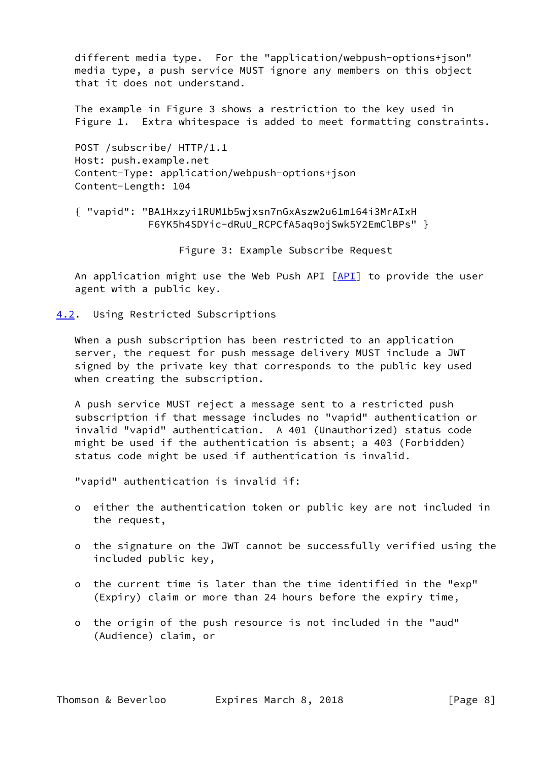different media type. For the "application/webpush-options+json" media type, a push service MUST ignore any members on this object that it does not understand.

 The example in Figure 3 shows a restriction to the key used in Figure 1. Extra whitespace is added to meet formatting constraints.

 POST /subscribe/ HTTP/1.1 Host: push.example.net Content-Type: application/webpush-options+json Content-Length: 104

 { "vapid": "BA1Hxzyi1RUM1b5wjxsn7nGxAszw2u61m164i3MrAIxH F6YK5h4SDYic-dRuU\_RCPCfA5aq9ojSwk5Y2EmClBPs" }

Figure 3: Example Subscribe Request

An application might use the Web Push [API](#page-14-4)  $[API]$  to provide the user agent with a public key.

<span id="page-8-0"></span>[4.2](#page-8-0). Using Restricted Subscriptions

 When a push subscription has been restricted to an application server, the request for push message delivery MUST include a JWT signed by the private key that corresponds to the public key used when creating the subscription.

 A push service MUST reject a message sent to a restricted push subscription if that message includes no "vapid" authentication or invalid "vapid" authentication. A 401 (Unauthorized) status code might be used if the authentication is absent; a 403 (Forbidden) status code might be used if authentication is invalid.

"vapid" authentication is invalid if:

- o either the authentication token or public key are not included in the request,
- o the signature on the JWT cannot be successfully verified using the included public key,
- o the current time is later than the time identified in the "exp" (Expiry) claim or more than 24 hours before the expiry time,
- o the origin of the push resource is not included in the "aud" (Audience) claim, or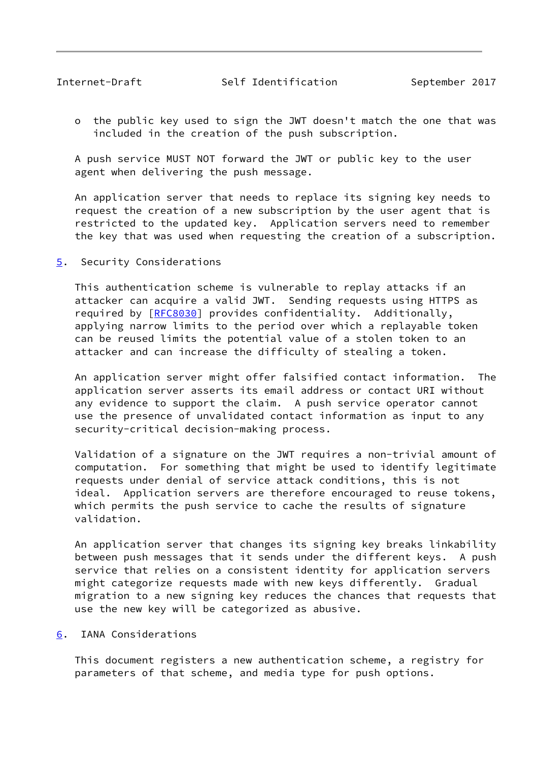<span id="page-9-1"></span> o the public key used to sign the JWT doesn't match the one that was included in the creation of the push subscription.

 A push service MUST NOT forward the JWT or public key to the user agent when delivering the push message.

 An application server that needs to replace its signing key needs to request the creation of a new subscription by the user agent that is restricted to the updated key. Application servers need to remember the key that was used when requesting the creation of a subscription.

<span id="page-9-0"></span>[5](#page-9-0). Security Considerations

 This authentication scheme is vulnerable to replay attacks if an attacker can acquire a valid JWT. Sending requests using HTTPS as required by [\[RFC8030](https://datatracker.ietf.org/doc/pdf/rfc8030)] provides confidentiality. Additionally, applying narrow limits to the period over which a replayable token can be reused limits the potential value of a stolen token to an attacker and can increase the difficulty of stealing a token.

 An application server might offer falsified contact information. The application server asserts its email address or contact URI without any evidence to support the claim. A push service operator cannot use the presence of unvalidated contact information as input to any security-critical decision-making process.

 Validation of a signature on the JWT requires a non-trivial amount of computation. For something that might be used to identify legitimate requests under denial of service attack conditions, this is not ideal. Application servers are therefore encouraged to reuse tokens, which permits the push service to cache the results of signature validation.

 An application server that changes its signing key breaks linkability between push messages that it sends under the different keys. A push service that relies on a consistent identity for application servers might categorize requests made with new keys differently. Gradual migration to a new signing key reduces the chances that requests that use the new key will be categorized as abusive.

<span id="page-9-2"></span>[6](#page-9-2). IANA Considerations

 This document registers a new authentication scheme, a registry for parameters of that scheme, and media type for push options.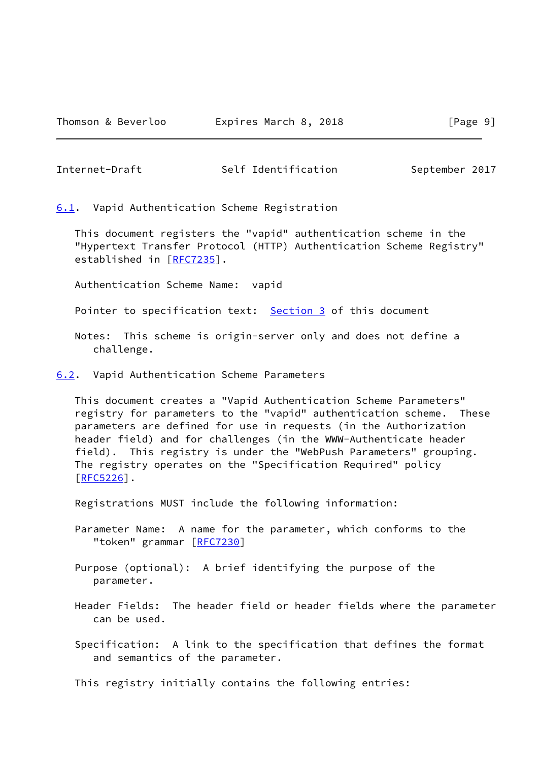<span id="page-10-1"></span>Internet-Draft Self Identification September 2017

<span id="page-10-0"></span>[6.1](#page-10-0). Vapid Authentication Scheme Registration

 This document registers the "vapid" authentication scheme in the "Hypertext Transfer Protocol (HTTP) Authentication Scheme Registry" established in [\[RFC7235](https://datatracker.ietf.org/doc/pdf/rfc7235)].

Authentication Scheme Name: vapid

Pointer to specification text: [Section 3](#page-5-0) of this document

 Notes: This scheme is origin-server only and does not define a challenge.

<span id="page-10-2"></span>[6.2](#page-10-2). Vapid Authentication Scheme Parameters

 This document creates a "Vapid Authentication Scheme Parameters" registry for parameters to the "vapid" authentication scheme. These parameters are defined for use in requests (in the Authorization header field) and for challenges (in the WWW-Authenticate header field). This registry is under the "WebPush Parameters" grouping. The registry operates on the "Specification Required" policy [\[RFC5226](https://datatracker.ietf.org/doc/pdf/rfc5226)].

Registrations MUST include the following information:

 Parameter Name: A name for the parameter, which conforms to the "token" grammar [[RFC7230\]](https://datatracker.ietf.org/doc/pdf/rfc7230)

 Purpose (optional): A brief identifying the purpose of the parameter.

- Header Fields: The header field or header fields where the parameter can be used.
- Specification: A link to the specification that defines the format and semantics of the parameter.

This registry initially contains the following entries: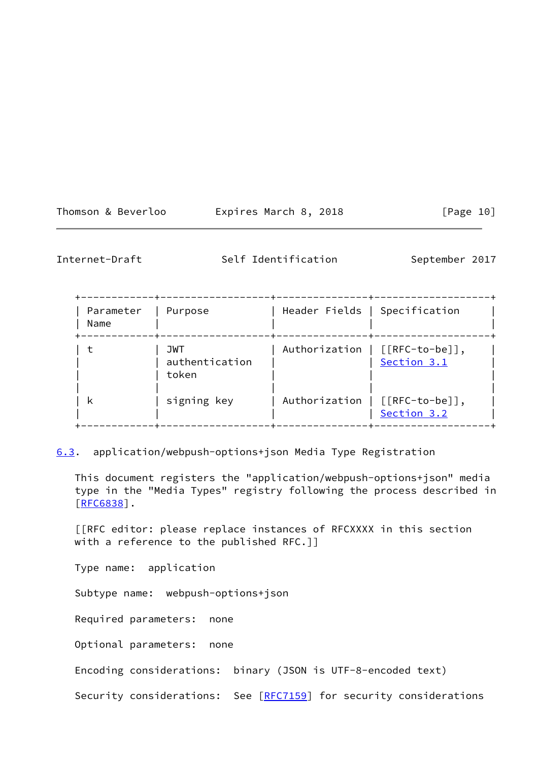| Expires Ma<br>Thomson & Beverloo |
|----------------------------------|
|----------------------------------|

 $x$ pires March 8, 2018  $[Page 10]$ 

Internet-Draft Self Identification September 2017

| Parameter<br>Name | Purpose                               | Header Fields   Specification |                                               |
|-------------------|---------------------------------------|-------------------------------|-----------------------------------------------|
|                   | <b>JWT</b><br>authentication<br>token |                               | Authorization   [[RFC-to-be]],<br>Section 3.1 |
| ĸ                 | signing key                           |                               | Authorization   [[RFC-to-be]],<br>Section 3.2 |

<span id="page-11-0"></span>[6.3](#page-11-0). application/webpush-options+json Media Type Registration

 This document registers the "application/webpush-options+json" media type in the "Media Types" registry following the process described in [\[RFC6838](https://datatracker.ietf.org/doc/pdf/rfc6838)].

 [[RFC editor: please replace instances of RFCXXXX in this section with a reference to the published RFC.]]

Type name: application

Subtype name: webpush-options+json

Required parameters: none

Optional parameters: none

Encoding considerations: binary (JSON is UTF-8-encoded text)

Security considerations: See [[RFC7159](https://datatracker.ietf.org/doc/pdf/rfc7159)] for security considerations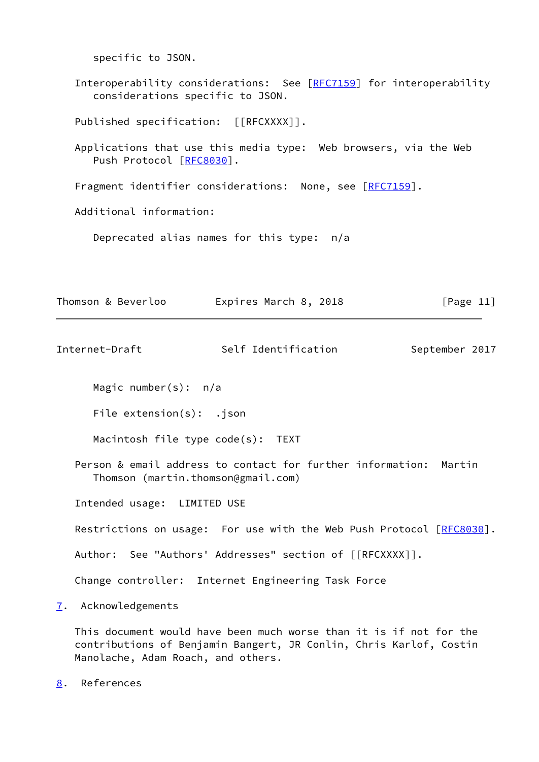specific to JSON. Interoperability considerations: See [[RFC7159](https://datatracker.ietf.org/doc/pdf/rfc7159)] for interoperability considerations specific to JSON. Published specification: [[RFCXXXX]]. Applications that use this media type: Web browsers, via the Web Push Protocol [\[RFC8030](https://datatracker.ietf.org/doc/pdf/rfc8030)]. Fragment identifier considerations: None, see [\[RFC7159](https://datatracker.ietf.org/doc/pdf/rfc7159)]. Additional information: Deprecated alias names for this type: n/a

Thomson & Beverloo Expires March 8, 2018 [Page 11]

<span id="page-12-1"></span>Internet-Draft Self Identification September 2017

Magic number(s): n/a

File extension(s): .json

Macintosh file type code(s): TEXT

 Person & email address to contact for further information: Martin Thomson (martin.thomson@gmail.com)

Intended usage: LIMITED USE

Restrictions on usage: For use with the Web Push Protocol [[RFC8030\]](https://datatracker.ietf.org/doc/pdf/rfc8030).

Author: See "Authors' Addresses" section of [[RFCXXXX]].

Change controller: Internet Engineering Task Force

<span id="page-12-0"></span>[7](#page-12-0). Acknowledgements

 This document would have been much worse than it is if not for the contributions of Benjamin Bangert, JR Conlin, Chris Karlof, Costin Manolache, Adam Roach, and others.

<span id="page-12-2"></span>[8](#page-12-2). References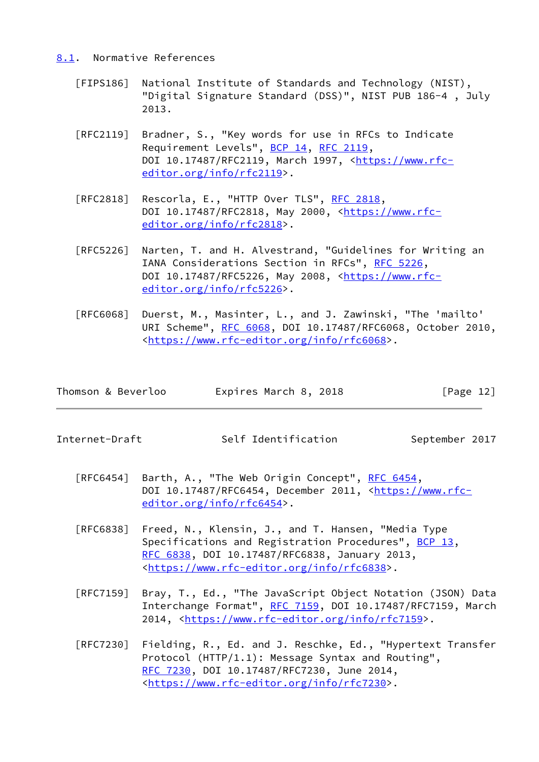#### <span id="page-13-0"></span>[8.1](#page-13-0). Normative References

- <span id="page-13-1"></span> [FIPS186] National Institute of Standards and Technology (NIST), "Digital Signature Standard (DSS)", NIST PUB 186-4 , July 2013.
- [RFC2119] Bradner, S., "Key words for use in RFCs to Indicate Requirement Levels", [BCP 14](https://datatracker.ietf.org/doc/pdf/bcp14), [RFC 2119](https://datatracker.ietf.org/doc/pdf/rfc2119), DOI 10.17487/RFC2119, March 1997, [<https://www.rfc](https://www.rfc-editor.org/info/rfc2119) [editor.org/info/rfc2119](https://www.rfc-editor.org/info/rfc2119)>.
- [RFC2818] Rescorla, E., "HTTP Over TLS", [RFC 2818](https://datatracker.ietf.org/doc/pdf/rfc2818), DOI 10.17487/RFC2818, May 2000, <[https://www.rfc](https://www.rfc-editor.org/info/rfc2818) [editor.org/info/rfc2818](https://www.rfc-editor.org/info/rfc2818)>.
- [RFC5226] Narten, T. and H. Alvestrand, "Guidelines for Writing an IANA Considerations Section in RFCs", [RFC 5226](https://datatracker.ietf.org/doc/pdf/rfc5226), DOI 10.17487/RFC5226, May 2008, <[https://www.rfc](https://www.rfc-editor.org/info/rfc5226) [editor.org/info/rfc5226](https://www.rfc-editor.org/info/rfc5226)>.
- [RFC6068] Duerst, M., Masinter, L., and J. Zawinski, "The 'mailto' URI Scheme", [RFC 6068](https://datatracker.ietf.org/doc/pdf/rfc6068), DOI 10.17487/RFC6068, October 2010, <[https://www.rfc-editor.org/info/rfc6068>](https://www.rfc-editor.org/info/rfc6068).

| Thomson & Beverloo | Expires March 8, 2018 | [Page 12] |
|--------------------|-----------------------|-----------|
|--------------------|-----------------------|-----------|

Internet-Draft Self Identification September 2017

- [RFC6454] Barth, A., "The Web Origin Concept", [RFC 6454](https://datatracker.ietf.org/doc/pdf/rfc6454), DOI 10.17487/RFC6454, December 2011, [<https://www.rfc](https://www.rfc-editor.org/info/rfc6454) [editor.org/info/rfc6454](https://www.rfc-editor.org/info/rfc6454)>.
- [RFC6838] Freed, N., Klensin, J., and T. Hansen, "Media Type Specifications and Registration Procedures", [BCP 13](https://datatracker.ietf.org/doc/pdf/bcp13), [RFC 6838,](https://datatracker.ietf.org/doc/pdf/rfc6838) DOI 10.17487/RFC6838, January 2013, <[https://www.rfc-editor.org/info/rfc6838>](https://www.rfc-editor.org/info/rfc6838).
- [RFC7159] Bray, T., Ed., "The JavaScript Object Notation (JSON) Data Interchange Format", [RFC 7159](https://datatracker.ietf.org/doc/pdf/rfc7159), DOI 10.17487/RFC7159, March 2014, [<https://www.rfc-editor.org/info/rfc7159](https://www.rfc-editor.org/info/rfc7159)>.
- [RFC7230] Fielding, R., Ed. and J. Reschke, Ed., "Hypertext Transfer Protocol (HTTP/1.1): Message Syntax and Routing", [RFC 7230,](https://datatracker.ietf.org/doc/pdf/rfc7230) DOI 10.17487/RFC7230, June 2014, <[https://www.rfc-editor.org/info/rfc7230>](https://www.rfc-editor.org/info/rfc7230).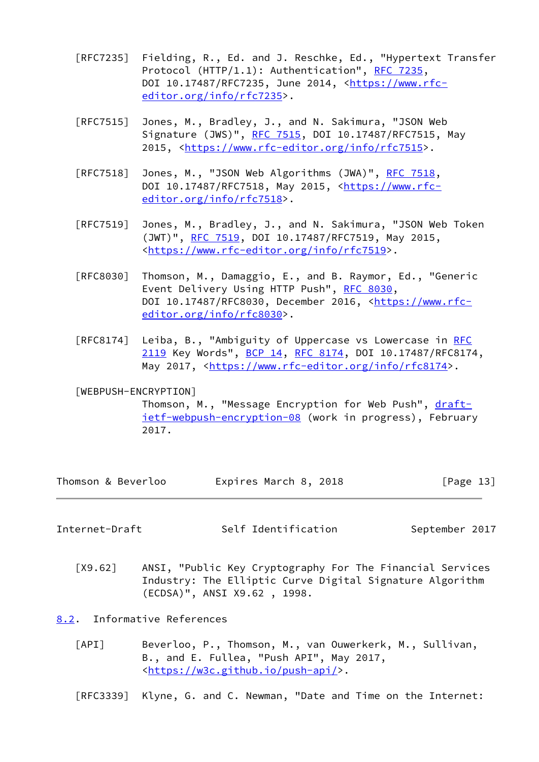- [RFC7235] Fielding, R., Ed. and J. Reschke, Ed., "Hypertext Transfer Protocol (HTTP/1.1): Authentication", [RFC 7235](https://datatracker.ietf.org/doc/pdf/rfc7235), DOI 10.17487/RFC7235, June 2014, [<https://www.rfc](https://www.rfc-editor.org/info/rfc7235) [editor.org/info/rfc7235](https://www.rfc-editor.org/info/rfc7235)>.
- [RFC7515] Jones, M., Bradley, J., and N. Sakimura, "JSON Web Signature (JWS)", [RFC 7515](https://datatracker.ietf.org/doc/pdf/rfc7515), DOI 10.17487/RFC7515, May 2015, [<https://www.rfc-editor.org/info/rfc7515](https://www.rfc-editor.org/info/rfc7515)>.
- [RFC7518] Jones, M., "JSON Web Algorithms (JWA)", [RFC 7518,](https://datatracker.ietf.org/doc/pdf/rfc7518) DOI 10.17487/RFC7518, May 2015, <[https://www.rfc](https://www.rfc-editor.org/info/rfc7518) [editor.org/info/rfc7518](https://www.rfc-editor.org/info/rfc7518)>.
- [RFC7519] Jones, M., Bradley, J., and N. Sakimura, "JSON Web Token (JWT)", [RFC 7519,](https://datatracker.ietf.org/doc/pdf/rfc7519) DOI 10.17487/RFC7519, May 2015, <[https://www.rfc-editor.org/info/rfc7519>](https://www.rfc-editor.org/info/rfc7519).
- [RFC8030] Thomson, M., Damaggio, E., and B. Raymor, Ed., "Generic Event Delivery Using HTTP Push", [RFC 8030,](https://datatracker.ietf.org/doc/pdf/rfc8030) DOI 10.17487/RFC8030, December 2016, [<https://www.rfc](https://www.rfc-editor.org/info/rfc8030) [editor.org/info/rfc8030](https://www.rfc-editor.org/info/rfc8030)>.
- [RFC8174] Leiba, B., "Ambiguity of Uppercase vs Lowercase in [RFC](https://datatracker.ietf.org/doc/pdf/rfc2119) [2119](https://datatracker.ietf.org/doc/pdf/rfc2119) Key Words", [BCP 14](https://datatracker.ietf.org/doc/pdf/bcp14), [RFC 8174,](https://datatracker.ietf.org/doc/pdf/rfc8174) DOI 10.17487/RFC8174, May 2017, [<https://www.rfc-editor.org/info/rfc8174](https://www.rfc-editor.org/info/rfc8174)>.
- <span id="page-14-3"></span> [WEBPUSH-ENCRYPTION] Thomson, M., "Message Encryption for Web Push", [draft](https://datatracker.ietf.org/doc/pdf/draft-ietf-webpush-encryption-08) [ietf-webpush-encryption-08](https://datatracker.ietf.org/doc/pdf/draft-ietf-webpush-encryption-08) (work in progress), February 2017.

| Thomson & Beverloo | Expires March 8, 2018 | [Page 13] |
|--------------------|-----------------------|-----------|
|--------------------|-----------------------|-----------|

<span id="page-14-1"></span>Internet-Draft Self Identification September 2017

- <span id="page-14-2"></span> [X9.62] ANSI, "Public Key Cryptography For The Financial Services Industry: The Elliptic Curve Digital Signature Algorithm (ECDSA)", ANSI X9.62 , 1998.
- <span id="page-14-4"></span><span id="page-14-0"></span>[8.2](#page-14-0). Informative References
	- [API] Beverloo, P., Thomson, M., van Ouwerkerk, M., Sullivan, B., and E. Fullea, "Push API", May 2017, <[https://w3c.github.io/push-api/>](https://w3c.github.io/push-api/).

[RFC3339] Klyne, G. and C. Newman, "Date and Time on the Internet: